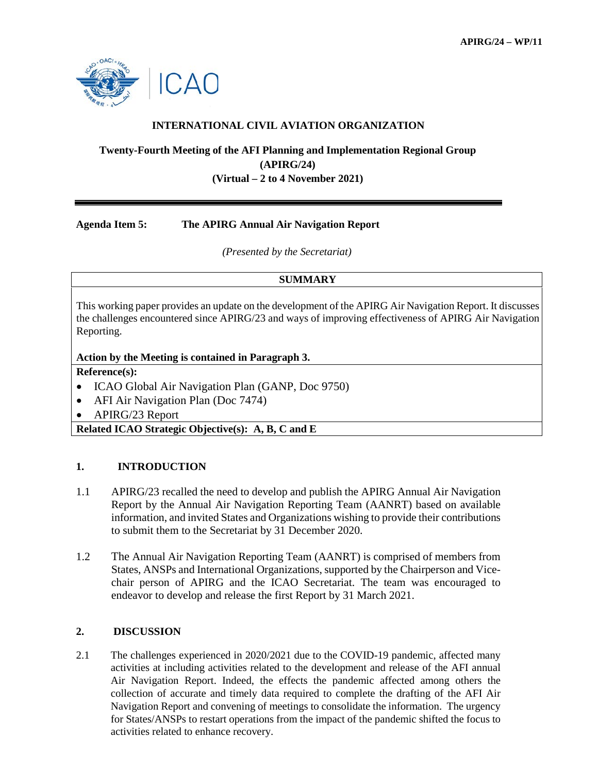

## **INTERNATIONAL CIVIL AVIATION ORGANIZATION**

# **Twenty-Fourth Meeting of the AFI Planning and Implementation Regional Group (APIRG/24) (Virtual – 2 to 4 November 2021)**

### **Agenda Item 5: The APIRG Annual Air Navigation Report**

*(Presented by the Secretariat)* 

#### **SUMMARY**

This working paper provides an update on the development of the APIRG Air Navigation Report. It discusses the challenges encountered since APIRG/23 and ways of improving effectiveness of APIRG Air Navigation Reporting.

**Action by the Meeting is contained in Paragraph 3.**

#### **Reference(s):**

- ICAO Global Air Navigation Plan (GANP, Doc 9750)
- AFI Air Navigation Plan (Doc 7474)

• APIRG/23 Report

**Related ICAO Strategic Objective(s): A, B, C and E** 

#### **1. INTRODUCTION**

- 1.1 APIRG/23 recalled the need to develop and publish the APIRG Annual Air Navigation Report by the Annual Air Navigation Reporting Team (AANRT) based on available information, and invited States and Organizations wishing to provide their contributions to submit them to the Secretariat by 31 December 2020.
- 1.2 The Annual Air Navigation Reporting Team (AANRT) is comprised of members from States, ANSPs and International Organizations, supported by the Chairperson and Vicechair person of APIRG and the ICAO Secretariat. The team was encouraged to endeavor to develop and release the first Report by 31 March 2021.

#### **2. DISCUSSION**

2.1 The challenges experienced in 2020/2021 due to the COVID-19 pandemic, affected many activities at including activities related to the development and release of the AFI annual Air Navigation Report. Indeed, the effects the pandemic affected among others the collection of accurate and timely data required to complete the drafting of the AFI Air Navigation Report and convening of meetings to consolidate the information. The urgency for States/ANSPs to restart operations from the impact of the pandemic shifted the focus to activities related to enhance recovery.